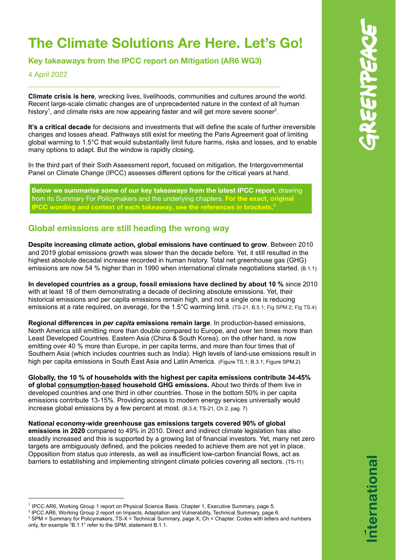# **The Climate Solutions Are Here. Let's Go!**

**Key takeaways from the IPCC report on Mitigation (AR6 WG3)**

\_\_\_\_\_\_\_\_\_\_\_\_\_\_\_\_\_\_\_\_\_\_\_\_\_\_\_\_\_\_\_\_\_\_\_\_\_\_\_\_\_\_\_\_\_\_\_\_\_\_\_\_\_\_\_\_\_\_\_\_\_\_\_\_\_\_\_\_\_

#### 4 April 2022

**Climate crisis is here**, wrecking lives, livelihoods, communities and cultures around the world. Recent large-scale climatic changes are of unprecedented nature in the context of all human history<sup>1</sup>, and climate risks are now appearing faster and will get more severe sooner<sup>2</sup>.

**It's a critical decade** for decisions and investments that will define the scale of further irreversible changes and losses ahead. Pathways still exist for meeting the Paris Agreement goal of limiting global warming to 1.5°C that would substantially limit future harms, risks and losses, and to enable many options to adapt. But the window is rapidly closing.

In the third part of their Sixth Assessment report, focused on mitigation, the Intergovernmental Panel on Climate Change (IPCC) assesses different options for the critical years at hand.

**Below we summarise some of our key takeaways from the latest IPCC report**, drawing from its Summary For Policymakers and the underlying chapters. **For the exact, original IPCC wording and context of each takeaway, see the references in brackets. 3**

### **Global emissions are still heading the wrong way**

**Despite increasing climate action, global emissions have continued to grow**. Between 2010 and 2019 global emissions growth was slower than the decade before. Yet, it still resulted in the highest absolute decadal increase recorded in human history. Total net greenhouse gas (GHG) emissions are now 54 % higher than in 1990 when international climate negotiations started. (B.1.1)

**In developed countries as a group, fossil emissions have declined by about 10 %** since 2010 with at least 18 of them demonstrating a decade of declining absolute emissions. Yet, their historical emissions and per capita emissions remain high, and not a single one is reducing emissions at a rate required, on average, for the 1.5°C warming limit. (TS-21, B.5.1; Fig SPM.2; Fig TS.4)

**Regional differences in** *per capita* **emissions remain large**. In production-based emissions, North America still emitting more than double compared to Europe, and over ten times more than Least Developed Countries. Eastern Asia (China & South Korea), on the other hand, is now emitting over 40 % more than Europe, in per capita terms, and more than four times that of Southern Asia (which includes countries such as India). High levels of land-use emissions result in high per capita emissions in South East Asia and Latin America. (Figure TS.1; B.3.1; Figure SPM.2)

**Globally, the 10 % of households with the highest per capita emissions contribute 34-45% of global consumption-based household GHG emissions.** About two thirds of them live in developed countries and one third in other countries. Those in the bottom 50% in per capita emissions contribute 13-15%. Providing access to modern energy services universally would increase global emissions by a few percent at most*.* (B.3.4; TS-21, Ch 2, pag. 7)

**National economy-wide greenhouse gas emissions targets covered 90% of global emissions in 2020** compared to 49% in 2010. Direct and indirect climate legislation has also steadily increased and this is supported by a growing list of financial investors. Yet, many net zero targets are ambiguously defined, and the policies needed to achieve them are not yet in place. Opposition from status quo interests, as well as insufficient low-carbon financial flows, act as barriers to establishing and implementing stringent climate policies covering all sectors. (TS-11)

1

<sup>&</sup>lt;sup>1</sup> IPCC AR6, Working Group 1 report on Physical Science Basis. Chapter 1, Executive Summary, page 5.

<sup>2</sup> IPCC AR6, Working Group 2 report on Impacts, Adaptation and Vulnerability, Technical Summary, page 6.

<sup>&</sup>lt;sup>3</sup> SPM = Summary for Policymakers, TS-X = Technical Summary, page X; Ch = Chapter. Codes with letters and numbers only, for example "B.1.1" refer to the SPM, statement B.1.1.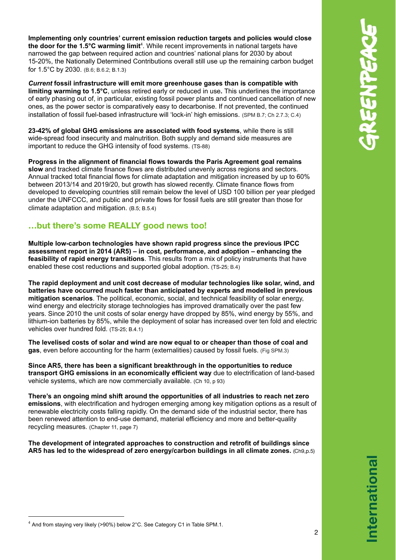**Implementing only countries' current emission reduction targets and policies would close the door for the 1.5°C warming limit** 4 . While recent improvements in national targets have narrowed the gap between required action and countries' national plans for 2030 by about 15-20%, the Nationally Determined Contributions overall still use up the remaining carbon budget for 1.5°C by 2030. (B.6; B.6.2; B.1.3)

*Current* **fossil infrastructure will emit more greenhouse gases than is compatible with limiting warming to 1.5°C**, unless retired early or reduced in use**.** This underlines the importance of early phasing out of, in particular, existing fossil power plants and continued cancellation of new ones, as the power sector is comparatively easy to decarbonise. If not prevented, the continued installation of fossil fuel-based infrastructure will 'lock-in' high emissions. (SPM B.7; Ch 2.7.3; C.4)

**23-42% of global GHG emissions are associated with food systems**, while there is still wide-spread food insecurity and malnutrition. Both supply and demand side measures are important to reduce the GHG intensity of food systems. (TS-88)

**Progress in the alignment of financial flows towards the Paris Agreement goal remains slow** and tracked climate finance flows are distributed unevenly across regions and sectors. Annual tracked total financial flows for climate adaptation and mitigation increased by up to 60% between 2013/14 and 2019/20, but growth has slowed recently. Climate finance flows from developed to developing countries still remain below the level of USD 100 billion per year pledged under the UNFCCC, and public and private flows for fossil fuels are still greater than those for climate adaptation and mitigation. (B.5; B.5.4)

#### **…but there's some REALLY good news too!**

**Multiple low-carbon technologies have shown rapid progress since the previous IPCC assessment report in 2014 (AR5) – in cost, performance, and adoption – enhancing the feasibility of rapid energy transitions**. This results from a mix of policy instruments that have enabled these cost reductions and supported global adoption. (TS-25; B.4)

**The rapid deployment and unit cost decrease of modular technologies like solar, wind, and batteries have occurred much faster than anticipated by experts and modelled in previous mitigation scenarios**. The political, economic, social, and technical feasibility of solar energy, wind energy and electricity storage technologies has improved dramatically over the past few years. Since 2010 the unit costs of solar energy have dropped by 85%, wind energy by 55%, and lithium-ion batteries by 85%, while the deployment of solar has increased over ten fold and electric vehicles over hundred fold. (TS-25; B.4.1)

**The levelised costs of solar and wind are now equal to or cheaper than those of coal and gas**, even before accounting for the harm (externalities) caused by fossil fuels. (Fig SPM.3)

**Since AR5, there has been a significant breakthrough in the opportunities to reduce transport GHG emissions in an economically efficient way** due to electrification of land-based vehicle systems, which are now commercially available. (Ch 10, p 93)

**There's an ongoing mind shift around the opportunities of all industries to reach net zero emissions**, with electrification and hydrogen emerging among key mitigation options as a result of renewable electricity costs falling rapidly. On the demand side of the industrial sector, there has been renewed attention to end-use demand, material efficiency and more and better-quality recycling measures. (Chapter 11, page 7)

**The development of integrated approaches to construction and retrofit of buildings since AR5 has led to the widespread of zero energy/carbon buildings in all climate zones.** (Ch9,p.5)

 $4$  And from staying very likely (>90%) below 2°C. See Category C1 in Table SPM.1.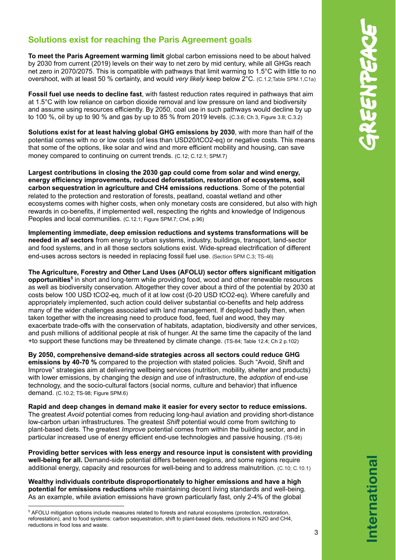## **Solutions exist for reaching the Paris Agreement goals**

**To meet the Paris Agreement warming limit** global carbon emissions need to be about halved by 2030 from current (2019) levels on their way to net zero by mid century, while all GHGs reach net zero in 2070/2075. This is compatible with pathways that limit warming to 1.5°C with little to no overshoot, with at least 50 % certainty, and would *very likely* keep below 2°C. (C.1.2;Table SPM.1,C1a)

**Fossil fuel use needs to decline fast**, with fastest reduction rates required in pathways that aim at 1.5°C with low reliance on carbon dioxide removal and low pressure on land and biodiversity and assume using resources efficiently. By 2050, coal use in such pathways would decline by up to 100 %, oil by up to 90 % and gas by up to 85 % from 2019 levels. (C.3.6; Ch 3, Figure 3.8; C.3.2)

**Solutions exist for at least halving global GHG emissions by 2030**, with more than half of the potential comes with no or low costs (of less than USD20/tCO2-eq) or negative costs. This means that some of the options, like solar and wind and more efficient mobility and housing, can save money compared to continuing on current trends. (C.12; C.12.1; SPM.7)

**Largest contributions in closing the 2030 gap could come from solar and wind energy, energy efficiency improvements, reduced deforestation, restoration of ecosystems, soil carbon sequestration in agriculture and CH4 emissions reductions**. Some of the potential related to the protection and restoration of forests, peatland, coastal wetland and other ecosystems comes with higher costs, when only monetary costs are considered, but also with high rewards in co-benefits, if implemented well, respecting the rights and knowledge of Indigenous Peoples and local communities. (C.12.1; Figure SPM.7; Ch4, p.96)

**Implementing immediate, deep emission reductions and systems transformations will be needed in** *all* **sectors** from energy to urban systems, industry, buildings, transport, land-sector and food systems, and in all those sectors solutions exist. Wide-spread electrification of different end-uses across sectors is needed in replacing fossil fuel use. (Section SPM C.3; TS-46)

**The Agriculture, Forestry and Other Land Uses (AFOLU) sector offers significant mitigation opportunities 5** in short and long-term while providing food, wood and other renewable resources as well as biodiversity conservation. Altogether they cover about a third of the potential by 2030 at costs below 100 USD tCO2-eq, much of it at low cost (0-20 USD tCO2-eq). Where carefully and appropriately implemented, such action could deliver substantial co-benefits and help address many of the wider challenges associated with land management. If deployed badly then, when taken together with the increasing need to produce food, feed, fuel and wood, they may exacerbate trade-offs with the conservation of habitats, adaptation, biodiversity and other services, and push millions of additional people at risk of hunger. At the same time the capacity of the land +to support these functions may be threatened by climate change. (TS-84; Table 12.4; Ch 2 p.102)

**By 2050, comprehensive demand-side strategies across all sectors could reduce GHG emissions by 40-70 %** compared to the projection with stated policies. Such "Avoid, Shift and Improve" strategies aim at delivering wellbeing services (nutrition, mobility, shelter and products) with lower emissions, by changing the *design* and *use* of infrastructure, the *adoption* of end-use technology, and the socio-cultural factors (social norms, culture and behavior) that influence demand. (C.10.2; TS-98; Figure SPM.6)

**Rapid and deep changes in demand make it easier for every sector to reduce emissions.** The greatest *Avoid* potential comes from reducing long-haul aviation and providing short-distance low-carbon urban infrastructures. The greatest *Shift* potential would come from switching to plant-based diets. The greatest *Improve* potential comes from within the building sector, and in particular increased use of energy efficient end-use technologies and passive housing. (TS-98)

**Providing better services with less energy and resource input is consistent with providing well-being for all.** Demand-side potential differs between regions, and some regions require additional energy, capacity and resources for well-being and to address malnutrition. (C.10; C.10.1)

**Wealthy individuals contribute disproportionately to higher emissions and have a high potential for emissions reductions** while maintaining decent living standards and well-being*.* As an example, while aviation emissions have grown particularly fast, only 2-4% of the global

3

<sup>5</sup> AFOLU mitigation options include measures related to forests and natural ecosystems (protection, restoration, reforestation), and to food systems: carbon sequestration, shift to plant-based diets, reductions in N2O and CH4, reductions in food loss and waste.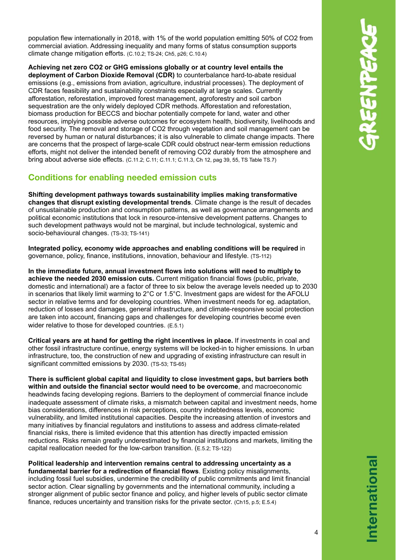population flew internationally in 2018, with 1% of the world population emitting 50% of CO2 from commercial aviation. Addressing inequality and many forms of status consumption supports climate change mitigation efforts. (C.10.2; TS-24; Ch5, p26; C.10.4)

**Achieving net zero CO2 or GHG emissions globally or at country level entails the deployment of Carbon Dioxide Removal (CDR)** to counterbalance hard-to-abate residual emissions (e.g., emissions from aviation, agriculture, industrial processes). The deployment of CDR faces feasibility and sustainability constraints especially at large scales. Currently afforestation, reforestation, improved forest management, agroforestry and soil carbon sequestration are the only widely deployed CDR methods. Afforestation and reforestation, biomass production for BECCS and biochar potentially compete for land, water and other resources, implying possible adverse outcomes for ecosystem health, biodiversity, livelihoods and food security. The removal and storage of CO2 through vegetation and soil management can be reversed by human or natural disturbances; it is also vulnerable to climate change impacts. There are concerns that the prospect of large-scale CDR could obstruct near-term emission reductions efforts, might not deliver the intended benefit of removing CO2 durably from the atmosphere and bring about adverse side effects. (C.11.2; C.11; C.11.1; C.11.3, Ch 12, pag 39, 55, TS Table TS.7)

### **Conditions for enabling needed emission cuts**

**Shifting development pathways towards sustainability implies making transformative changes that disrupt existing developmental trends**. Climate change is the result of decades of unsustainable production and consumption patterns, as well as governance arrangements and political economic institutions that lock in resource-intensive development patterns. Changes to such development pathways would not be marginal, but include technological, systemic and socio-behavioural changes. (TS-33; TS-141)

**Integrated policy, economy wide approaches and enabling conditions will be required** in governance, policy, finance, institutions, innovation, behaviour and lifestyle. (TS-112)

**In the immediate future, annual investment flows into solutions will need to multiply to achieve the needed 2030 emission cuts.** Current mitigation financial flows (public, private, domestic and international) are a factor of three to six below the average levels needed up to 2030 in scenarios that likely limit warming to 2°C or 1.5°C. Investment gaps are widest for the AFOLU sector in relative terms and for developing countries. When investment needs for eg. adaptation, reduction of losses and damages, general infrastructure, and climate-responsive social protection are taken into account, financing gaps and challenges for developing countries become even wider relative to those for developed countries. (E.5.1)

**Critical years are at hand for getting the right incentives in place.** If investments in coal and other fossil infrastructure continue, energy systems will be locked-in to higher emissions. In urban infrastructure, too, the construction of new and upgrading of existing infrastructure can result in significant committed emissions by 2030. (TS-53; TS-65)

**There is sufficient global capital and liquidity to close investment gaps, but barriers both within and outside the financial sector would need to be overcome**, and macroeconomic headwinds facing developing regions. Barriers to the deployment of commercial finance include inadequate assessment of climate risks, a mismatch between capital and investment needs, home bias considerations, differences in risk perceptions, country indebtedness levels, economic vulnerability, and limited institutional capacities. Despite the increasing attention of investors and many initiatives by financial regulators and institutions to assess and address climate-related financial risks, there is limited evidence that this attention has directly impacted emission reductions. Risks remain greatly underestimated by financial institutions and markets, limiting the capital reallocation needed for the low-carbon transition. (E.5.2; TS-122)

**Political leadership and intervention remains central to addressing uncertainty as a fundamental barrier for a redirection of financial flows**. Existing policy misalignments, including fossil fuel subsidies, undermine the credibility of public commitments and limit financial sector action. Clear signalling by governments and the international community, including a stronger alignment of public sector finance and policy, and higher levels of public sector climate finance, reduces uncertainty and transition risks for the private sector. (Ch15, p.5; E.5.4)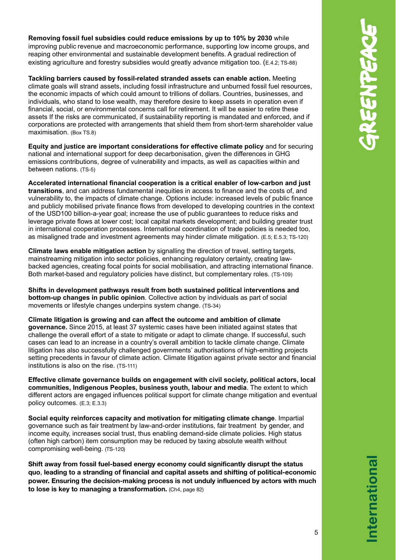**Removing fossil fuel subsidies could reduce emissions by up to 10% by 2030** while improving public revenue and macroeconomic performance, supporting low income groups, and reaping other environmental and sustainable development benefits. A gradual redirection of existing agriculture and forestry subsidies would greatly advance mitigation too. (E.4.2; TS-88)

**Tackling barriers caused by fossil-related stranded assets can enable action.** Meeting climate goals will strand assets, including fossil infrastructure and unburned fossil fuel resources, the economic impacts of which could amount to trillions of dollars. Countries, businesses, and individuals, who stand to lose wealth, may therefore desire to keep assets in operation even if financial, social, or environmental concerns call for retirement. It will be easier to retire these assets If the risks are communicated, if sustainability reporting is mandated and enforced, and if corporations are protected with arrangements that shield them from short-term shareholder value maximisation. (Box TS.8)

**Equity and justice are important considerations for effective climate policy** and for securing national and international support for deep decarbonisation, given the differences in GHG emissions contributions, degree of vulnerability and impacts, as well as capacities within and between nations. (TS-5)

**Accelerated international financial cooperation is a critical enabler of low-carbon and just transitions**, and can address fundamental inequities in access to finance and the costs of, and vulnerability to, the impacts of climate change. Options include: increased levels of public finance and publicly mobilised private finance flows from developed to developing countries in the context of the USD100 billion-a-year goal; increase the use of public guarantees to reduce risks and leverage private flows at lower cost; local capital markets development; and building greater trust in international cooperation processes. International coordination of trade policies is needed too, as misaligned trade and investment agreements may hinder climate mitigation. (E.5; E.5.3; TS-120)

**Climate laws enable mitigation action** by signalling the direction of travel, setting targets, mainstreaming mitigation into sector policies, enhancing regulatory certainty, creating lawbacked agencies, creating focal points for social mobilisation, and attracting international finance. Both market-based and regulatory policies have distinct, but complementary roles. (TS-109)

**Shifts in development pathways result from both sustained political interventions and bottom-up changes in public opinion**. Collective action by individuals as part of social movements or lifestyle changes underpins system change. (TS-34)

**Climate litigation is growing and can affect the outcome and ambition of climate governance.** Since 2015, at least 37 systemic cases have been initiated against states that challenge the overall effort of a state to mitigate or adapt to climate change. If successful, such cases can lead to an increase in a country's overall ambition to tackle climate change. Climate litigation has also successfully challenged governments' authorisations of high-emitting projects setting precedents in favour of climate action. Climate litigation against private sector and financial institutions is also on the rise. (TS-111)

**Effective climate governance builds on engagement with civil society, political actors, local communities, Indigenous Peoples, business youth, labour and media**. The extent to which different actors are engaged influences political support for climate change mitigation and eventual policy outcomes. (E.3; E.3.3)

**Social equity reinforces capacity and motivation for mitigating climate change**. Impartial governance such as fair treatment by law-and-order institutions, fair treatment by gender, and income equity, increases social trust, thus enabling demand-side climate policies. High status (often high carbon) item consumption may be reduced by taxing absolute wealth without compromising well-being. (TS-120)

**Shift away from fossil fuel-based energy economy could significantly disrupt the status quo**, **leading to a stranding of financial and capital assets and shifting of political-economic power. Ensuring the decision-making process is not unduly influenced by actors with much to lose is key to managing a transformation.** (Ch4, page 82)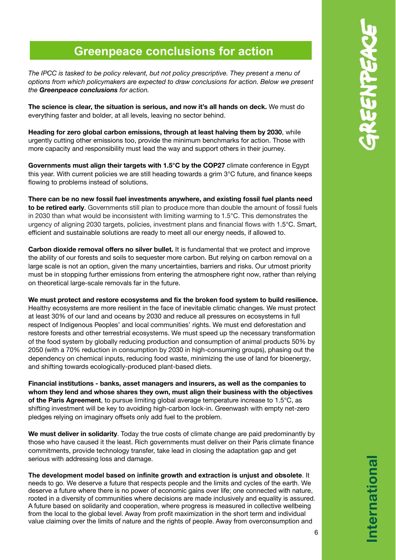# **Greenpeace conclusions for action**

*The IPCC is tasked to be policy relevant, but not policy prescriptive. They present a menu of options from which policymakers are expected to draw conclusions for action. Below we present the Greenpeace conclusions for action.*

**The science is clear, the situation is serious, and now it's all hands on deck.** We must do everything faster and bolder, at all levels, leaving no sector behind.

**Heading for zero global carbon emissions, through at least halving them by 2030**, while urgently cutting other emissions too, provide the minimum benchmarks for action. Those with more capacity and responsibility must lead the way and support others in their journey.

**Governments must align their targets with 1.5°C by the COP27** climate conference in Egypt this year. With current policies we are still heading towards a grim 3°C future, and finance keeps flowing to problems instead of solutions.

**There can be no new fossil fuel investments anywhere, and existing fossil fuel plants need to be retired early**. Governments still plan to produce more than double the amount of fossil fuels in 2030 than what would be inconsistent with limiting warming to 1.5°C. This demonstrates the urgency of aligning 2030 targets, policies, investment plans and financial flows with 1.5°C. Smart, efficient and sustainable solutions are ready to meet all our energy needs, if allowed to.

**Carbon dioxide removal offers no silver bullet.** It is fundamental that we protect and improve the ability of our forests and soils to sequester more carbon. But relying on carbon removal on a large scale is not an option, given the many uncertainties, barriers and risks. Our utmost priority must be in stopping further emissions from entering the atmosphere right now, rather than relying on theoretical large-scale removals far in the future.

**We must protect and restore ecosystems and fix the broken food system to build resilience.** Healthy ecosystems are more resilient in the face of inevitable climatic changes. We must protect at least 30% of our land and oceans by 2030 and reduce all pressures on ecosystems in full respect of Indigenous Peoples' and local communities' rights. We must end deforestation and restore forests and other terrestrial ecosystems. We must speed up the necessary transformation of the food system by globally reducing production and consumption of animal products 50% by 2050 (with a 70% reduction in consumption by 2030 in high-consuming groups), phasing out the dependency on chemical inputs, reducing food waste, minimizing the use of land for bioenergy, and shifting towards ecologically-produced plant-based diets.

**Financial institutions - banks, asset managers and insurers, as well as the companies to whom they lend and whose shares they own, must align their business with the objectives of the Paris Agreement**, to pursue limiting global average temperature increase to 1.5°C, as shifting investment will be key to avoiding high-carbon lock-in. Greenwash with empty net-zero pledges relying on imaginary offsets only add fuel to the problem.

**We must deliver in solidarity**. Today the true costs of climate change are paid predominantly by those who have caused it the least. Rich governments must deliver on their Paris climate finance commitments, provide technology transfer, take lead in closing the adaptation gap and get serious with addressing loss and damage.

**The development model based on infinite growth and extraction is unjust and obsolete**. It needs to go. We deserve a future that respects people and the limits and cycles of the earth. We deserve a future where there is no power of economic gains over life; one connected with nature, rooted in a diversity of communities where decisions are made inclusively and equality is assured. A future based on solidarity and cooperation, where progress is measured in collective wellbeing from the local to the global level. Away from profit maximization in the short term and individual value claiming over the limits of nature and the rights of people. Away from overconsumption and